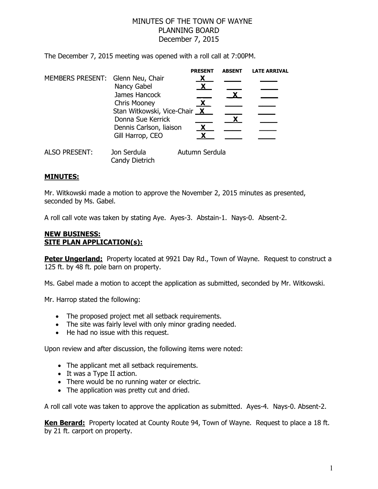## MINUTES OF THE TOWN OF WAYNE PLANNING BOARD December 7, 2015

The December 7, 2015 meeting was opened with a roll call at 7:00PM.

|                                   |                                                     | <b>PRESENT</b> | <b>ABSENT</b> | <b>LATE ARRIVAL</b> |
|-----------------------------------|-----------------------------------------------------|----------------|---------------|---------------------|
| MEMBERS PRESENT: Glenn Neu, Chair | Nancy Gabel                                         |                |               |                     |
|                                   | James Hancock                                       |                |               |                     |
|                                   | <b>Chris Mooney</b><br>Stan Witkowski, Vice-Chair X | <b>X</b>       |               |                     |
|                                   | Donna Sue Kerrick                                   |                |               |                     |
|                                   | Dennis Carlson, liaison<br>Gill Harrop, CEO         | $\mathbf{X}$   |               |                     |
| <b>ALSO PRESENT:</b>              | Jon Serdula<br>Candy Dietrich                       | Autumn Serdula |               |                     |

## **MINUTES:**

Mr. Witkowski made a motion to approve the November 2, 2015 minutes as presented, seconded by Ms. Gabel.

A roll call vote was taken by stating Aye. Ayes-3. Abstain-1. Nays-0. Absent-2.

## **NEW BUSINESS: SITE PLAN APPLICATION(s):**

**Peter Ungerland:** Property located at 9921 Day Rd., Town of Wayne. Request to construct a 125 ft. by 48 ft. pole barn on property.

Ms. Gabel made a motion to accept the application as submitted, seconded by Mr. Witkowski.

Mr. Harrop stated the following:

- The proposed project met all setback requirements.
- The site was fairly level with only minor grading needed.
- He had no issue with this request.

Upon review and after discussion, the following items were noted:

- The applicant met all setback requirements.
- It was a Type II action.
- There would be no running water or electric.
- The application was pretty cut and dried.

A roll call vote was taken to approve the application as submitted. Ayes-4. Nays-0. Absent-2.

**Ken Berard:** Property located at County Route 94, Town of Wayne. Request to place a 18 ft. by 21 ft. carport on property.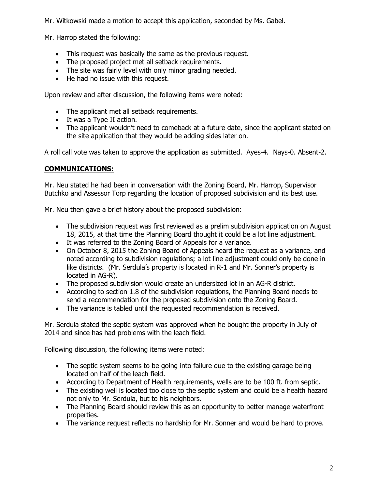Mr. Witkowski made a motion to accept this application, seconded by Ms. Gabel.

Mr. Harrop stated the following:

- This request was basically the same as the previous request.
- The proposed project met all setback requirements.
- The site was fairly level with only minor grading needed.
- He had no issue with this request.

Upon review and after discussion, the following items were noted:

- The applicant met all setback requirements.
- It was a Type II action.
- The applicant wouldn't need to comeback at a future date, since the applicant stated on the site application that they would be adding sides later on.

A roll call vote was taken to approve the application as submitted. Ayes-4. Nays-0. Absent-2.

## **COMMUNICATIONS:**

Mr. Neu stated he had been in conversation with the Zoning Board, Mr. Harrop, Supervisor Butchko and Assessor Torp regarding the location of proposed subdivision and its best use.

Mr. Neu then gave a brief history about the proposed subdivision:

- The subdivision request was first reviewed as a prelim subdivision application on August 18, 2015, at that time the Planning Board thought it could be a lot line adjustment.
- It was referred to the Zoning Board of Appeals for a variance.
- On October 8, 2015 the Zoning Board of Appeals heard the request as a variance, and noted according to subdivision regulations; a lot line adjustment could only be done in like districts. (Mr. Serdula's property is located in R-1 and Mr. Sonner's property is located in AG-R).
- The proposed subdivision would create an undersized lot in an AG-R district.
- According to section 1.8 of the subdivision regulations, the Planning Board needs to send a recommendation for the proposed subdivision onto the Zoning Board.
- The variance is tabled until the requested recommendation is received.

Mr. Serdula stated the septic system was approved when he bought the property in July of 2014 and since has had problems with the leach field.

Following discussion, the following items were noted:

- The septic system seems to be going into failure due to the existing garage being located on half of the leach field.
- According to Department of Health requirements, wells are to be 100 ft. from septic.
- The existing well is located too close to the septic system and could be a health hazard not only to Mr. Serdula, but to his neighbors.
- The Planning Board should review this as an opportunity to better manage waterfront properties.
- The variance request reflects no hardship for Mr. Sonner and would be hard to prove.